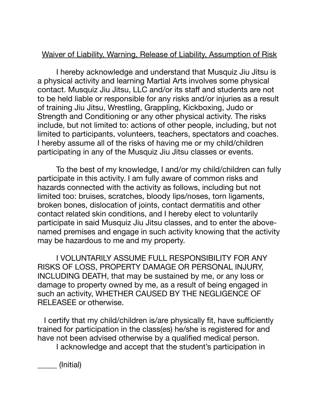## Waiver of Liability, Warning, Release of Liability, Assumption of Risk

I hereby acknowledge and understand that Musquiz Jiu Jitsu is a physical activity and learning Martial Arts involves some physical contact. Musquiz Jiu Jitsu, LLC and/or its staff and students are not to be held liable or responsible for any risks and/or injuries as a result of training Jiu Jitsu, Wrestling, Grappling, Kickboxing, Judo or Strength and Conditioning or any other physical activity. The risks include, but not limited to: actions of other people, including, but not limited to participants, volunteers, teachers, spectators and coaches. I hereby assume all of the risks of having me or my child/children participating in any of the Musquiz Jiu Jitsu classes or events.

To the best of my knowledge, I and/or my child/children can fully participate in this activity. I am fully aware of common risks and hazards connected with the activity as follows, including but not limited too: bruises, scratches, bloody lips/noses, torn ligaments, broken bones, dislocation of joints, contact dermatitis and other contact related skin conditions, and I hereby elect to voluntarily participate in said Musquiz Jiu Jitsu classes, and to enter the abovenamed premises and engage in such activity knowing that the activity may be hazardous to me and my property.

I VOLUNTARILY ASSUME FULL RESPONSIBILITY FOR ANY RISKS OF LOSS, PROPERTY DAMAGE OR PERSONAL INJURY, INCLUDING DEATH, that may be sustained by me, or any loss or damage to property owned by me, as a result of being engaged in such an activity, WHETHER CAUSED BY THE NEGLIGENCE OF RELEASEE or otherwise.

 I certify that my child/children is/are physically fit, have sufficiently trained for participation in the class(es) he/she is registered for and have not been advised otherwise by a qualified medical person.

I acknowledge and accept that the student's participation in

\_\_\_\_\_ (Initial)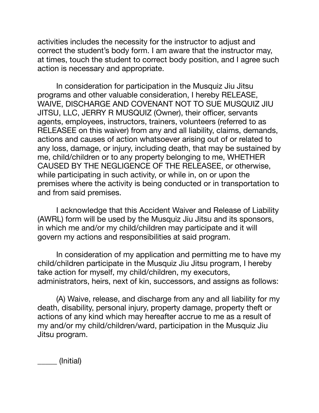activities includes the necessity for the instructor to adjust and correct the student's body form. I am aware that the instructor may, at times, touch the student to correct body position, and I agree such action is necessary and appropriate.

In consideration for participation in the Musquiz Jiu Jitsu programs and other valuable consideration, I hereby RELEASE, WAIVE, DISCHARGE AND COVENANT NOT TO SUE MUSQUIZ JIU JITSU, LLC, JERRY R MUSQUIZ (Owner), their officer, servants agents, employees, instructors, trainers, volunteers (referred to as RELEASEE on this waiver) from any and all liability, claims, demands, actions and causes of action whatsoever arising out of or related to any loss, damage, or injury, including death, that may be sustained by me, child/children or to any property belonging to me, WHETHER CAUSED BY THE NEGLIGENCE OF THE RELEASEE, or otherwise, while participating in such activity, or while in, on or upon the premises where the activity is being conducted or in transportation to and from said premises.

I acknowledge that this Accident Waiver and Release of Liability (AWRL) form will be used by the Musquiz Jiu Jitsu and its sponsors, in which me and/or my child/children may participate and it will govern my actions and responsibilities at said program.

In consideration of my application and permitting me to have my child/children participate in the Musquiz Jiu Jitsu program, I hereby take action for myself, my child/children, my executors, administrators, heirs, next of kin, successors, and assigns as follows:

(A) Waive, release, and discharge from any and all liability for my death, disability, personal injury, property damage, property theft or actions of any kind which may hereafter accrue to me as a result of my and/or my child/children/ward, participation in the Musquiz Jiu Jitsu program.

\_\_\_\_\_ (Initial)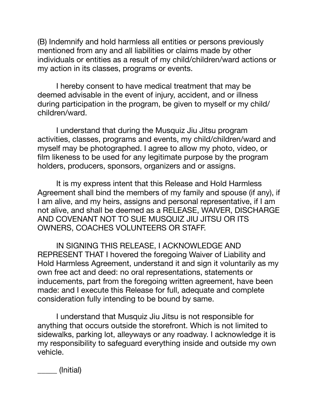(B) Indemnify and hold harmless all entities or persons previously mentioned from any and all liabilities or claims made by other individuals or entities as a result of my child/children/ward actions or my action in its classes, programs or events.

I hereby consent to have medical treatment that may be deemed advisable in the event of injury, accident, and or illness during participation in the program, be given to myself or my child/ children/ward.

I understand that during the Musquiz Jiu Jitsu program activities, classes, programs and events, my child/children/ward and myself may be photographed. I agree to allow my photo, video, or film likeness to be used for any legitimate purpose by the program holders, producers, sponsors, organizers and or assigns.

It is my express intent that this Release and Hold Harmless Agreement shall bind the members of my family and spouse (if any), if I am alive, and my heirs, assigns and personal representative, if I am not alive, and shall be deemed as a RELEASE, WAIVER, DISCHARGE AND COVENANT NOT TO SUE MUSQUIZ JIU JITSU OR ITS OWNERS, COACHES VOLUNTEERS OR STAFF.

IN SIGNING THIS RELEASE, I ACKNOWLEDGE AND REPRESENT THAT I hovered the foregoing Waiver of Liability and Hold Harmless Agreement, understand it and sign it voluntarily as my own free act and deed: no oral representations, statements or inducements, part from the foregoing written agreement, have been made: and I execute this Release for full, adequate and complete consideration fully intending to be bound by same.

I understand that Musquiz Jiu Jitsu is not responsible for anything that occurs outside the storefront. Which is not limited to sidewalks, parking lot, alleyways or any roadway. I acknowledge it is my responsibility to safeguard everything inside and outside my own vehicle.

\_\_\_\_\_ (Initial)